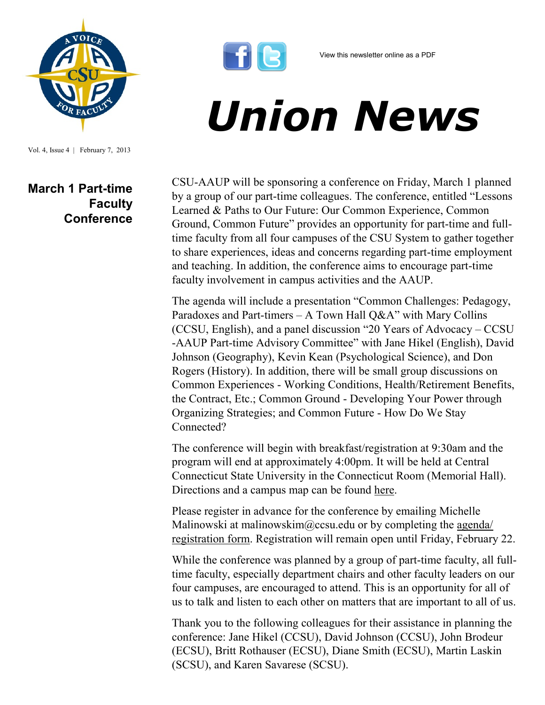

Vol. 4, Issue 4 | February 7, 2013

## **March 1 Part-time Faculty Conference**



## *Union News*

CSU-AAUP will be sponsoring a conference on Friday, March 1 planned by a group of our part-time colleagues. The conference, entitled "Lessons Learned & Paths to Our Future: Our Common Experience, Common Ground, Common Future" provides an opportunity for part-time and fulltime faculty from all four campuses of the CSU System to gather together to share experiences, ideas and concerns regarding part-time employment and teaching. In addition, the conference aims to encourage part-time faculty involvement in campus activities and the AAUP.

The agenda will include a presentation "Common Challenges: Pedagogy, Paradoxes and Part-timers – A Town Hall  $Q\&A$ " with Mary Collins (CCSU, English), and a panel discussion "20 Years of Advocacy – CCSU -AAUP Part-time Advisory Committee" with Jane Hikel (English), David Johnson (Geography), Kevin Kean (Psychological Science), and Don Rogers (History). In addition, there will be small group discussions on Common Experiences - Working Conditions, Health/Retirement Benefits, the Contract, Etc.; Common Ground - Developing Your Power through Organizing Strategies; and Common Future - How Do We Stay Connected?

The conference will begin with breakfast/registration at 9:30am and the program will end at approximately 4:00pm. It will be held at Central Connecticut State University in the Connecticut Room (Memorial Hall). Directions and a campus map can be found [here.](http://www.ccsu.edu/page.cfm?p=1378)

Please register in advance for the conference by emailing Michelle Malinowski at malinowskim@ccsu.edu or by completing the [agenda/](http://www.csuaaup.org/wp-content/uploads/2013/02/PTConfRegistration030113.doc) [registration form.](http://www.csuaaup.org/wp-content/uploads/2013/02/PTConfRegistration030113.doc) Registration will remain open until Friday, February 22.

While the conference was planned by a group of part-time faculty, all fulltime faculty, especially department chairs and other faculty leaders on our four campuses, are encouraged to attend. This is an opportunity for all of us to talk and listen to each other on matters that are important to all of us.

Thank you to the following colleagues for their assistance in planning the conference: Jane Hikel (CCSU), David Johnson (CCSU), John Brodeur (ECSU), Britt Rothauser (ECSU), Diane Smith (ECSU), Martin Laskin (SCSU), and Karen Savarese (SCSU).